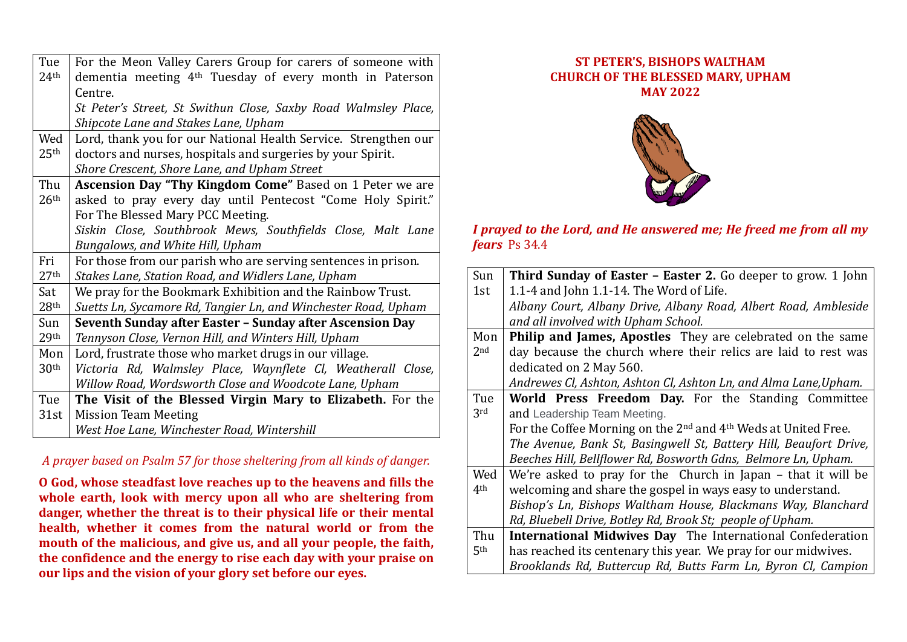| Tue              | For the Meon Valley Carers Group for carers of someone with         |
|------------------|---------------------------------------------------------------------|
| 24 <sup>th</sup> | dementia meeting 4 <sup>th</sup> Tuesday of every month in Paterson |
|                  | Centre.                                                             |
|                  | St Peter's Street, St Swithun Close, Saxby Road Walmsley Place,     |
|                  | Shipcote Lane and Stakes Lane, Upham                                |
| Wed              | Lord, thank you for our National Health Service. Strengthen our     |
| 25 <sup>th</sup> | doctors and nurses, hospitals and surgeries by your Spirit.         |
|                  | Shore Crescent, Shore Lane, and Upham Street                        |
| Thu              | <b>Ascension Day "Thy Kingdom Come"</b> Based on 1 Peter we are     |
| 26 <sup>th</sup> | asked to pray every day until Pentecost "Come Holy Spirit."         |
|                  | For The Blessed Mary PCC Meeting.                                   |
|                  | Siskin Close, Southbrook Mews, Southfields Close, Malt Lane         |
|                  | Bungalows, and White Hill, Upham                                    |
| Fri              | For those from our parish who are serving sentences in prison.      |
| 27 <sup>th</sup> | Stakes Lane, Station Road, and Widlers Lane, Upham                  |
| Sat              | We pray for the Bookmark Exhibition and the Rainbow Trust.          |
| 28 <sup>th</sup> | Suetts Ln, Sycamore Rd, Tangier Ln, and Winchester Road, Upham      |
| Sun              | Seventh Sunday after Easter - Sunday after Ascension Day            |
| 29th             | Tennyson Close, Vernon Hill, and Winters Hill, Upham                |
| Mon              | Lord, frustrate those who market drugs in our village.              |
| 30 <sup>th</sup> | Victoria Rd, Walmsley Place, Waynflete Cl, Weatherall Close,        |
|                  | Willow Road, Wordsworth Close and Woodcote Lane, Upham              |
| Tue              | The Visit of the Blessed Virgin Mary to Elizabeth. For the          |
| 31st             | <b>Mission Team Meeting</b>                                         |
|                  | West Hoe Lane, Winchester Road, Wintershill                         |

## *A prayer based on Psalm 57 for those sheltering from all kinds of danger.*

**O God, whose steadfast love reaches up to the heavens and fills the whole earth, look with mercy upon all who are sheltering from danger, whether the threat is to their physical life or their mental health, whether it comes from the natural world or from the mouth of the malicious, and give us, and all your people, the faith, the confidence and the energy to rise each day with your praise on our lips and the vision of your glory set before our eyes.**

## **ST PETER'S, BISHOPS WALTHAM CHURCH OF THE BLESSED MARY, UPHAM MAY 2022**



## *I prayed to the Lord, and He answered me; He freed me from all my fears* Ps 34.4

| Sun             | Third Sunday of Easter - Easter 2. Go deeper to grow. 1 John                           |
|-----------------|----------------------------------------------------------------------------------------|
| 1st             | 1.1-4 and John 1.1-14. The Word of Life.                                               |
|                 | Albany Court, Albany Drive, Albany Road, Albert Road, Ambleside                        |
|                 | and all involved with Upham School.                                                    |
| Mon             | Philip and James, Apostles They are celebrated on the same                             |
| 2 <sub>nd</sub> | day because the church where their relics are laid to rest was                         |
|                 | dedicated on 2 May 560.                                                                |
|                 | Andrewes Cl, Ashton, Ashton Cl, Ashton Ln, and Alma Lane, Upham.                       |
| Tue             | World Press Freedom Day. For the Standing Committee                                    |
| 3rd             | and Leadership Team Meeting.                                                           |
|                 | For the Coffee Morning on the 2 <sup>nd</sup> and 4 <sup>th</sup> Weds at United Free. |
|                 | The Avenue, Bank St, Basingwell St, Battery Hill, Beaufort Drive,                      |
|                 | Beeches Hill, Bellflower Rd, Bosworth Gdns, Belmore Ln, Upham.                         |
| Wed             | We're asked to pray for the Church in Japan – that it will be                          |
| 4 <sup>th</sup> | welcoming and share the gospel in ways easy to understand.                             |
|                 | Bishop's Ln, Bishops Waltham House, Blackmans Way, Blanchard                           |
|                 | Rd, Bluebell Drive, Botley Rd, Brook St; people of Upham.                              |
| Thu             | <b>International Midwives Day</b> The International Confederation                      |
| 5 <sup>th</sup> | has reached its centenary this year. We pray for our midwives.                         |
|                 | Brooklands Rd, Buttercup Rd, Butts Farm Ln, Byron Cl, Campion                          |